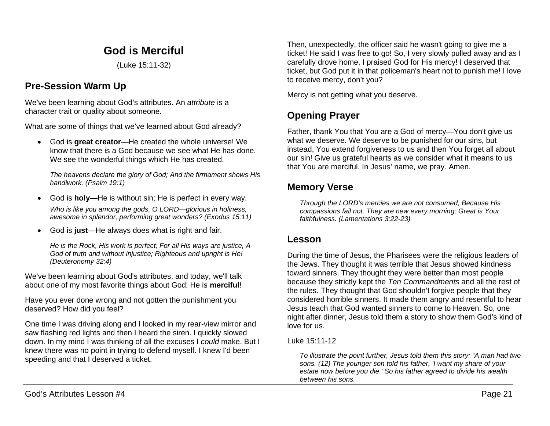# **God is Merciful**

(Luke 15:11-32)

# **Pre-Session Warm Up**

We've been learning about God's attributes. An *attribute* is a character trait or quality about someone.

What are some of things that we've learned about God already?

• God is **great creator**—He created the whole universe! We know that there is a God because we see what He has done. We see the wonderful things which He has created.

*The heavens declare the glory of God; And the firmament shows His handiwork. (Psalm 19:1)*

- God is **holy**—He is without sin; He is perfect in every way. *Who is like you among the gods, O LORD—glorious in holiness, awesome in splendor, performing great wonders? (Exodus 15:11)*
- God is **just**—He always does what is right and fair.

*He is the Rock, His work is perfect; For all His ways are justice, A God of truth and without injustice; Righteous and upright is He! (Deuteronomy 32:4)*

We've been learning about God's attributes, and today, we'll talk about one of my most favorite things about God: He is **merciful**!

Have you ever done wrong and not gotten the punishment you deserved? How did you feel?

One time I was driving along and I looked in my rear-view mirror and saw flashing red lights and then I heard the siren. I quickly slowed down. In my mind I was thinking of all the excuses I *could* make. But I knew there was no point in trying to defend myself. I knew I'd been speeding and that I deserved a ticket.

Then, unexpectedly, the officer said he wasn't going to give me a ticket! He said I was free to go! So, I very slowly pulled away and as I carefully drove home, I praised God for His mercy! I deserved that ticket, but God put it in that policeman's heart not to punish me! I love to receive mercy, don't you?

Mercy is not getting what you deserve.

# **Opening Prayer**

Father, thank You that You are a God of mercy—You don't give us what we deserve. We deserve to be punished for our sins, but instead, You extend forgiveness to us and then You forget all about our sin! Give us grateful hearts as we consider what it means to us that You are merciful. In Jesus' name, we pray. Amen.

## **Memory Verse**

*Through the LORD's mercies we are not consumed, Because His compassions fail not. They are new every morning; Great is Your faithfulness. (Lamentations 3:22-23)*

## **Lesson**

During the time of Jesus, the Pharisees were the religious leaders of the Jews. They thought it was terrible that Jesus showed kindness toward sinners. They thought they were better than most people because they strictly kept the *Ten Commandments* and all the rest of the rules. They thought that God shouldn't forgive people that they considered horrible sinners. It made them angry and resentful to hear Jesus teach that God wanted sinners to come to Heaven. So, one night after dinner, Jesus told them a story to show them God's kind of love for us.

### Luke 15:11-12

*To illustrate the point further, Jesus told them this story: "A man had two sons. (12) The younger son told his father, 'I want my share of your estate now before you die.' So his father agreed to divide his wealth between his sons.*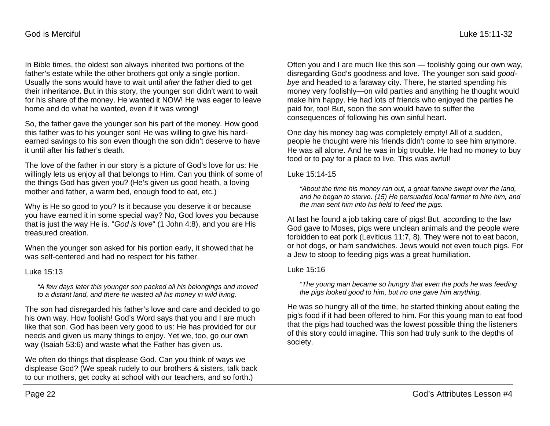In Bible times, the oldest son always inherited two portions of the father's estate while the other brothers got only a single portion. Usually the sons would have to wait until *after* the father died to get their inheritance. But in this story, the younger son didn't want to wait for his share of the money. He wanted it NOW! He was eager to leave home and do what he wanted, even if it was wrong!

So, the father gave the younger son his part of the money. How good this father was to his younger son! He was willing to give his hardearned savings to his son even though the son didn't deserve to have it until after his father's death.

The love of the father in our story is a picture of God's love for us: He willingly lets us enjoy all that belongs to Him. Can you think of some of the things God has given you? (He's given us good heath, a loving mother and father, a warm bed, enough food to eat, etc.)

Why is He so good to you? Is it because you deserve it or because you have earned it in some special way? No, God loves you because that is just the way He is. "*God is love*" (1 John 4:8), and you are His treasured creation.

When the younger son asked for his portion early, it showed that he was self-centered and had no respect for his father.

#### Luke 15:13

*"A few days later this younger son packed all his belongings and moved to a distant land, and there he wasted all his money in wild living.*

The son had disregarded his father's love and care and decided to go his own way. How foolish! God's Word says that you and I are much like that son. God has been very good to us: He has provided for our needs and given us many things to enjoy. Yet we, too, go our own way (Isaiah 53:6) and waste what the Father has given us.

We often do things that displease God. Can you think of ways we displease God? (We speak rudely to our brothers & sisters, talk back to our mothers, get cocky at school with our teachers, and so forth.)

Often you and I are much like this son — foolishly going our own way, disregarding God's goodness and love. The younger son said *goodbye* and headed to a faraway city. There, he started spending his money very foolishly—on wild parties and anything he thought would make him happy. He had lots of friends who enjoyed the parties he paid for, too! But, soon the son would have to suffer the consequences of following his own sinful heart.

One day his money bag was completely empty! All of a sudden, people he thought were his friends didn't come to see him anymore. He was all alone. And he was in big trouble. He had no money to buy food or to pay for a place to live. This was awful!

#### Luke 15:14-15

*"About the time his money ran out, a great famine swept over the land, and he began to starve. (15) He persuaded local farmer to hire him, and the man sent him into his field to feed the pigs.*

At last he found a job taking care of pigs! But, according to the law God gave to Moses, pigs were unclean animals and the people were forbidden to eat pork (Leviticus 11:7, 8). They were not to eat bacon, or hot dogs, or ham sandwiches. Jews would not even touch pigs. For a Jew to stoop to feeding pigs was a great humiliation.

#### Luke 15:16

*"The young man became so hungry that even the pods he was feeding the pigs looked good to him, but no one gave him anything.*

He was so hungry all of the time, he started thinking about eating the pig's food if it had been offered to him. For this young man to eat food that the pigs had touched was the lowest possible thing the listeners of this story could imagine. This son had truly sunk to the depths of society.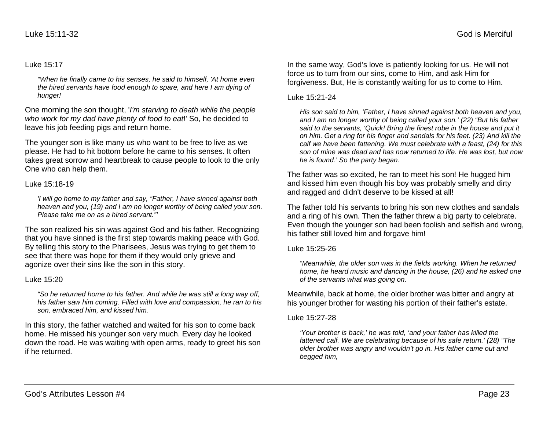#### Luke 15:17

*"When he finally came to his senses, he said to himself, 'At home even the hired servants have food enough to spare, and here I am dying of hunger!* 

One morning the son thought, '*I'm starving to death while the people who work for my dad have plenty of food to eat*!' So, he decided to leave his job feeding pigs and return home.

The younger son is like many us who want to be free to live as we please. He had to hit bottom before he came to his senses. It often takes great sorrow and heartbreak to cause people to look to the only One who can help them.

#### Luke 15:18-19

*'I will go home to my father and say, "Father, I have sinned against both heaven and you, (19) and I am no longer worthy of being called your son. Please take me on as a hired servant."'*

The son realized his sin was against God and his father. Recognizing that you have sinned is the first step towards making peace with God. By telling this story to the Pharisees, Jesus was trying to get them to see that there was hope for them if they would only grieve and agonize over their sins like the son in this story.

#### Luke 15:20

*"So he returned home to his father. And while he was still a long way off, his father saw him coming. Filled with love and compassion, he ran to his son, embraced him, and kissed him.* 

In this story, the father watched and waited for his son to come back home. He missed his younger son very much. Every day he looked down the road. He was waiting with open arms, ready to greet his son if he returned.

In the same way, God's love is patiently looking for us. He will not force us to turn from our sins, come to Him, and ask Him for forgiveness. But, He is constantly waiting for us to come to Him.

#### Luke 15:21-24

*His son said to him, 'Father, I have sinned against both heaven and you, and I am no longer worthy of being called your son.' (22) "But his father said to the servants, 'Quick! Bring the finest robe in the house and put it on him. Get a ring for his finger and sandals for his feet. (23) And kill the calf we have been fattening. We must celebrate with a feast, (24) for this son of mine was dead and has now returned to life. He was lost, but now he is found.' So the party began.*

The father was so excited, he ran to meet his son! He hugged him and kissed him even though his boy was probably smelly and dirty and ragged and didn't deserve to be kissed at all!

The father told his servants to bring his son new clothes and sandals and a ring of his own. Then the father threw a big party to celebrate. Even though the younger son had been foolish and selfish and wrong, his father still loved him and forgave him!

#### Luke 15:25-26

*"Meanwhile, the older son was in the fields working. When he returned home, he heard music and dancing in the house, (26) and he asked one of the servants what was going on.*

Meanwhile, back at home, the older brother was bitter and angry at his younger brother for wasting his portion of their father's estate.

#### Luke 15:27-28

*'Your brother is back,' he was told, 'and your father has killed the fattened calf. We are celebrating because of his safe return.' (28) "The older brother was angry and wouldn't go in. His father came out and begged him,*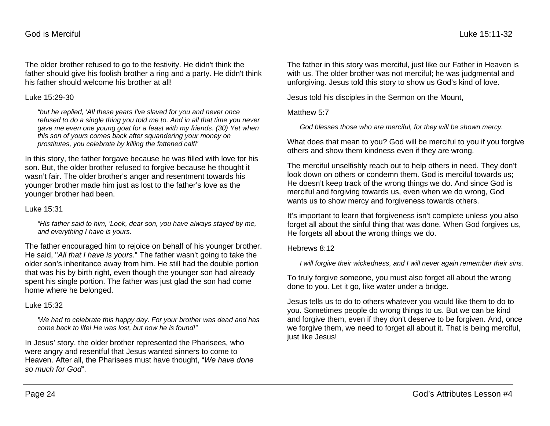The older brother refused to go to the festivity. He didn't think the father should give his foolish brother a ring and a party. He didn't think his father should welcome his brother at all!

#### Luke 15:29-30

*"but he replied, 'All these years I've slaved for you and never once refused to do a single thing you told me to. And in all that time you never gave me even one young goat for a feast with my friends. (30) Yet when this son of yours comes back after squandering your money on prostitutes, you celebrate by killing the fattened calf!'*

In this story, the father forgave because he was filled with love for his son. But, the older brother refused to forgive because he thought it wasn't fair. The older brother's anger and resentment towards his younger brother made him just as lost to the father's love as the younger brother had been.

#### Luke 15:31

*"His father said to him, 'Look, dear son, you have always stayed by me, and everything I have is yours.*

The father encouraged him to rejoice on behalf of his younger brother. He said, "*All that I have is yours*." The father wasn't going to take the older son's inheritance away from him. He still had the double portion that was his by birth right, even though the younger son had already spent his single portion. The father was just glad the son had come home where he belonged.

#### Luke 15:32

*'We had to celebrate this happy day. For your brother was dead and has come back to life! He was lost, but now he is found!"*

In Jesus' story, the older brother represented the Pharisees, who were angry and resentful that Jesus wanted sinners to come to Heaven. After all, the Pharisees must have thought, "*We have done so much for God*".

The father in this story was merciful, just like our Father in Heaven is with us. The older brother was not merciful; he was judgmental and unforgiving. Jesus told this story to show us God's kind of love.

Jesus told his disciples in the Sermon on the Mount,

Matthew 5:7

*God blesses those who are merciful, for they will be shown mercy.*

What does that mean to you? God will be merciful to you if you forgive others and show them kindness even if they are wrong.

The merciful unselfishly reach out to help others in need. They don't look down on others or condemn them. God is merciful towards us: He doesn't keep track of the wrong things we do. And since God is merciful and forgiving towards us, even when we do wrong, God wants us to show mercy and forgiveness towards others.

It's important to learn that forgiveness isn't complete unless you also forget all about the sinful thing that was done. When God forgives us, He forgets all about the wrong things we do.

#### Hebrews 8:12

*I will forgive their wickedness, and I will never again remember their sins.*

To truly forgive someone, you must also forget all about the wrong done to you. Let it go, like water under a bridge.

Jesus tells us to do to others whatever you would like them to do to you. Sometimes people do wrong things to us. But we can be kind and forgive them, even if they don't deserve to be forgiven. And, once we forgive them, we need to forget all about it. That is being merciful, just like Jesus!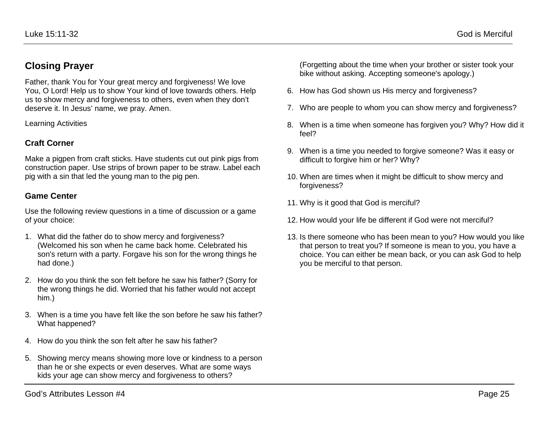## **Closing Prayer**

Father, thank You for Your great mercy and forgiveness! We love You, O Lord! Help us to show Your kind of love towards others. Help us to show mercy and forgiveness to others, even when they don't deserve it. In Jesus' name, we pray. Amen.

Learning Activities

### **Craft Corner**

Make a pigpen from craft sticks. Have students cut out pink pigs from construction paper. Use strips of brown paper to be straw. Label each pig with a sin that led the young man to the pig pen.

### **Game Center**

Use the following review questions in a time of discussion or a game of your choice:

- 1. What did the father do to show mercy and forgiveness? (Welcomed his son when he came back home. Celebrated his son's return with a party. Forgave his son for the wrong things he had done.)
- 2. How do you think the son felt before he saw his father? (Sorry for the wrong things he did. Worried that his father would not accept him.)
- 3. When is a time you have felt like the son before he saw his father? What happened?
- 4. How do you think the son felt after he saw his father?
- 5. Showing mercy means showing more love or kindness to a person than he or she expects or even deserves. What are some ways kids your age can show mercy and forgiveness to others?

(Forgetting about the time when your brother or sister took your bike without asking. Accepting someone's apology.)

- 6. How has God shown us His mercy and forgiveness?
- 7. Who are people to whom you can show mercy and forgiveness?
- 8. When is a time when someone has forgiven you? Why? How did it feel?
- 9. When is a time you needed to forgive someone? Was it easy or difficult to forgive him or her? Why?
- 10. When are times when it might be difficult to show mercy and forgiveness?
- 11. Why is it good that God is merciful?
- 12. How would your life be different if God were not merciful?
- 13. Is there someone who has been mean to you? How would you like that person to treat you? If someone is mean to you, you have a choice. You can either be mean back, or you can ask God to help you be merciful to that person.